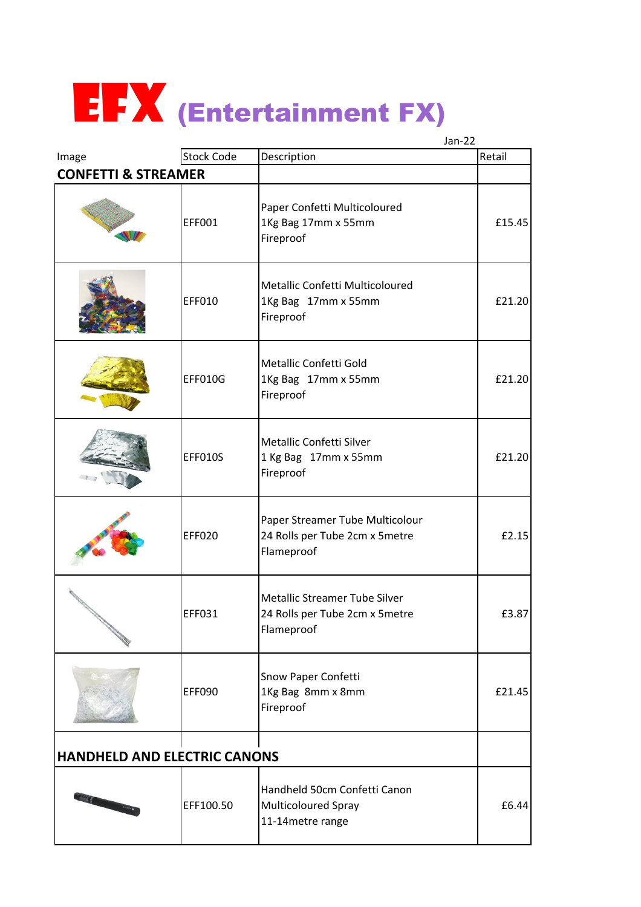

|                                       |                   | $Jan-22$                                                                        |        |
|---------------------------------------|-------------------|---------------------------------------------------------------------------------|--------|
| Image                                 | <b>Stock Code</b> | Description                                                                     | Retail |
| <b>CONFETTI &amp; STREAMER</b>        |                   |                                                                                 |        |
|                                       | EFF001            | Paper Confetti Multicoloured<br>1Kg Bag 17mm x 55mm<br>Fireproof                | £15.45 |
|                                       | EFF010            | Metallic Confetti Multicoloured<br>1Kg Bag 17mm x 55mm<br>Fireproof             | £21.20 |
|                                       | <b>EFF010G</b>    | Metallic Confetti Gold<br>1Kg Bag 17mm x 55mm<br>Fireproof                      | £21.20 |
|                                       | EFF010S           | Metallic Confetti Silver<br>1 Kg Bag 17mm x 55mm<br>Fireproof                   | £21.20 |
|                                       | EFF020            | Paper Streamer Tube Multicolour<br>24 Rolls per Tube 2cm x 5metre<br>Flameproof | £2.15  |
|                                       | <b>EFF031</b>     | Metallic Streamer Tube Silver<br>24 Rolls per Tube 2cm x 5metre<br>Flameproof   | £3.87  |
|                                       | EFF090            | Snow Paper Confetti<br>1Kg Bag 8mm x 8mm<br>Fireproof                           | £21.45 |
| <b>HANDHELD AND ELECTRIC CANONS</b>   |                   |                                                                                 |        |
| <b>Contract of Contract of Street</b> | EFF100.50         | Handheld 50cm Confetti Canon<br>Multicoloured Spray<br>11-14metre range         | £6.44  |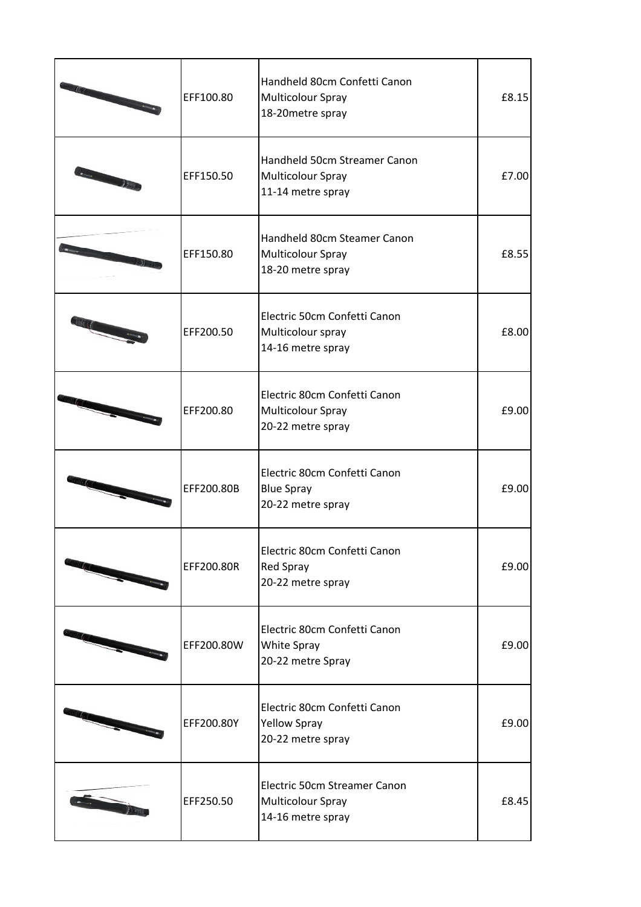| EFF100.80  | Handheld 80cm Confetti Canon<br>Multicolour Spray<br>18-20 metre spray   | £8.15 |
|------------|--------------------------------------------------------------------------|-------|
| EFF150.50  | Handheld 50cm Streamer Canon<br>Multicolour Spray<br>11-14 metre spray   | £7.00 |
| EFF150.80  | Handheld 80cm Steamer Canon<br>Multicolour Spray<br>18-20 metre spray    | £8.55 |
| EFF200.50  | Electric 50cm Confetti Canon<br>Multicolour spray<br>14-16 metre spray   | £8.00 |
| EFF200.80  | Electric 80cm Confetti Canon<br>Multicolour Spray<br>20-22 metre spray   | £9.00 |
| EFF200.80B | Electric 80cm Confetti Canon<br><b>Blue Spray</b><br>20-22 metre spray   | £9.00 |
| EFF200.80R | Electric 80cm Confetti Canon<br>Red Spray<br>20-22 metre spray           | £9.00 |
| EFF200.80W | Electric 80cm Confetti Canon<br>White Spray<br>20-22 metre Spray         | £9.00 |
| EFF200.80Y | Electric 80cm Confetti Canon<br><b>Yellow Spray</b><br>20-22 metre spray | £9.00 |
| EFF250.50  | Electric 50cm Streamer Canon<br>Multicolour Spray<br>14-16 metre spray   | £8.45 |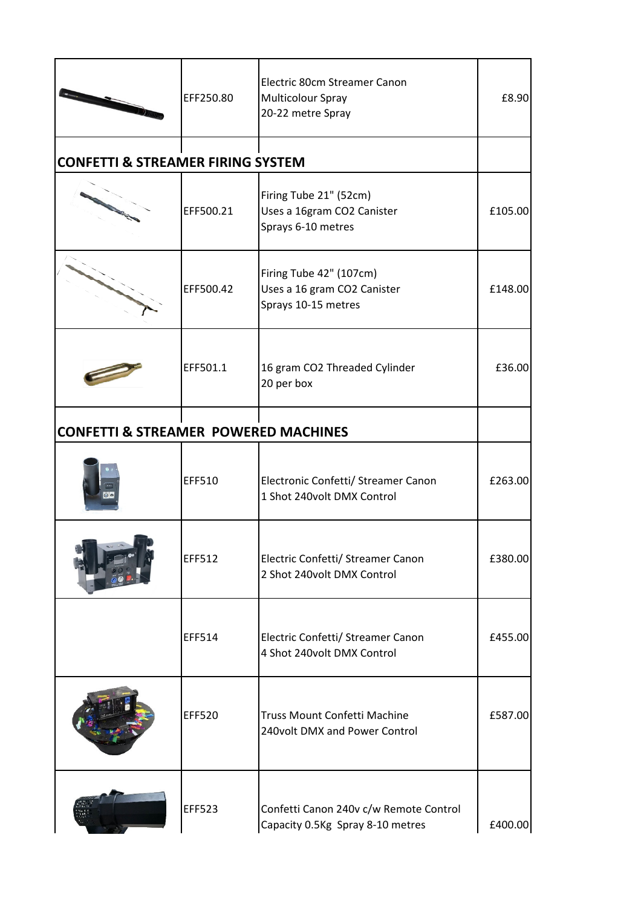|                                                 | EFF250.80     | Electric 80cm Streamer Canon<br>Multicolour Spray<br>20-22 metre Spray        | £8.90   |
|-------------------------------------------------|---------------|-------------------------------------------------------------------------------|---------|
| <b>CONFETTI &amp; STREAMER FIRING SYSTEM</b>    |               |                                                                               |         |
|                                                 | EFF500.21     | Firing Tube 21" (52cm)<br>Uses a 16gram CO2 Canister<br>Sprays 6-10 metres    | £105.00 |
|                                                 | EFF500.42     | Firing Tube 42" (107cm)<br>Uses a 16 gram CO2 Canister<br>Sprays 10-15 metres | £148.00 |
|                                                 | EFF501.1      | 16 gram CO2 Threaded Cylinder<br>20 per box                                   | £36.00  |
| <b>CONFETTI &amp; STREAMER POWERED MACHINES</b> |               |                                                                               |         |
|                                                 | EFF510        | Electronic Confetti/ Streamer Canon<br>1 Shot 240volt DMX Control             | £263.00 |
|                                                 | <b>EFF512</b> | Electric Confetti/ Streamer Canon<br>2 Shot 240volt DMX Control               | £380.00 |
|                                                 | <b>EFF514</b> | Electric Confetti/ Streamer Canon<br>4 Shot 240volt DMX Control               | £455.00 |
|                                                 | <b>EFF520</b> | <b>Truss Mount Confetti Machine</b><br>240volt DMX and Power Control          | £587.00 |
|                                                 | <b>EFF523</b> | Confetti Canon 240v c/w Remote Control<br>Capacity 0.5Kg Spray 8-10 metres    | £400.00 |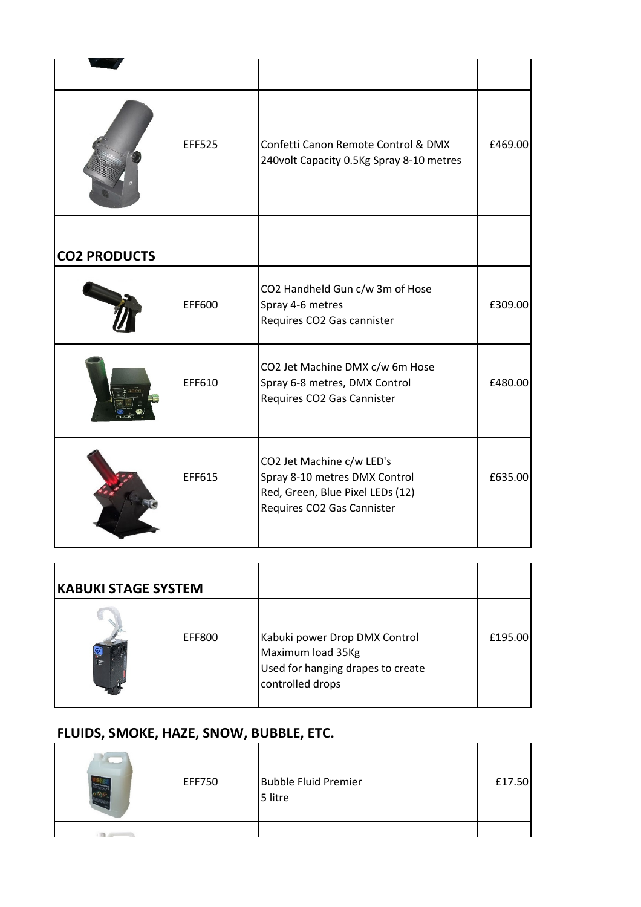|                     | <b>EFF525</b> | Confetti Canon Remote Control & DMX<br>240volt Capacity 0.5Kg Spray 8-10 metres                                              | £469.00 |
|---------------------|---------------|------------------------------------------------------------------------------------------------------------------------------|---------|
| <b>CO2 PRODUCTS</b> |               |                                                                                                                              |         |
|                     | EFF600        | CO2 Handheld Gun c/w 3m of Hose<br>Spray 4-6 metres<br>Requires CO2 Gas cannister                                            | £309.00 |
|                     | EFF610        | CO2 Jet Machine DMX c/w 6m Hose<br>Spray 6-8 metres, DMX Control<br>Requires CO2 Gas Cannister                               | £480.00 |
|                     | EFF615        | CO2 Jet Machine c/w LED's<br>Spray 8-10 metres DMX Control<br>Red, Green, Blue Pixel LEDs (12)<br>Requires CO2 Gas Cannister | £635.00 |

| <b>KABUKI STAGE SYSTEM</b> |               |                                                                                                             |         |
|----------------------------|---------------|-------------------------------------------------------------------------------------------------------------|---------|
| 日記                         | <b>EFF800</b> | Kabuki power Drop DMX Control<br>Maximum load 35Kg<br>Used for hanging drapes to create<br>controlled drops | £195.00 |

## FLUIDS, SMOKE, HAZE, SNOW, BUBBLE, ETC.

| <b>EFF750</b> | <b>Bubble Fluid Premier</b><br>5 litre | £17.50 |
|---------------|----------------------------------------|--------|
|               |                                        |        |